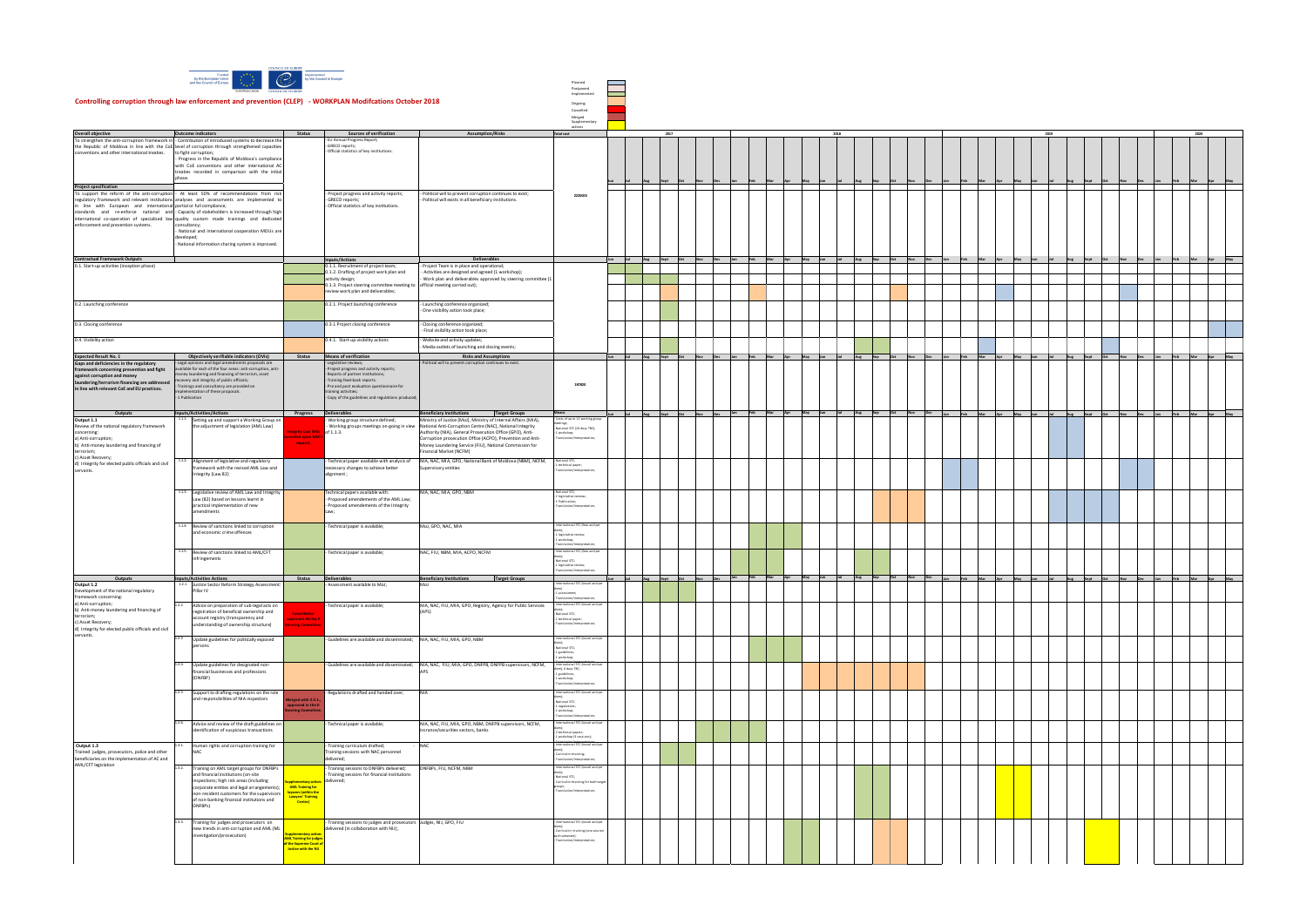| Planned       |  |
|---------------|--|
| Postponed     |  |
| Implemented   |  |
|               |  |
| Ongoing       |  |
| Cancelled     |  |
| Merged        |  |
| Supplementary |  |
| actions       |  |
|               |  |

| <b>Overall objective</b>                                                                                                                                       |                 | <b>Outcome indicators</b>                                                                      | Status                                               | Sources of verification                                                           | <b>Assumption/Risks</b>                                                                                                   | actions<br><b>Total cost</b>                           |              | 2017         |            |     |                 | 2018                                           |     |                     |            |             |     | 2019 |             |                |     | 2020            |     |
|----------------------------------------------------------------------------------------------------------------------------------------------------------------|-----------------|------------------------------------------------------------------------------------------------|------------------------------------------------------|-----------------------------------------------------------------------------------|---------------------------------------------------------------------------------------------------------------------------|--------------------------------------------------------|--------------|--------------|------------|-----|-----------------|------------------------------------------------|-----|---------------------|------------|-------------|-----|------|-------------|----------------|-----|-----------------|-----|
| To strengthen the anti-corruption framework in - Contribution of introduced systems to decrease the                                                            |                 |                                                                                                |                                                      | <b>EU Annual Progress Report</b>                                                  |                                                                                                                           |                                                        |              |              |            |     |                 |                                                |     |                     |            |             |     |      |             |                |     |                 |     |
| the Republic of Moldova in line with the CoE level of corruption through strengthened capacities                                                               |                 |                                                                                                |                                                      | GRECO reports;<br>Official statistics of key institutions.                        |                                                                                                                           |                                                        |              |              |            |     |                 |                                                |     |                     |            |             |     |      |             |                |     |                 |     |
| conventions and other international treaties.                                                                                                                  |                 | to fight corruption;<br>Progress in the Republic of Moldova's compliance                       |                                                      |                                                                                   |                                                                                                                           |                                                        |              |              |            |     |                 |                                                |     |                     |            |             |     |      |             |                |     |                 |     |
|                                                                                                                                                                |                 | with CoE conventions and other international AC                                                |                                                      |                                                                                   |                                                                                                                           |                                                        |              |              |            |     |                 |                                                |     |                     |            |             |     |      |             |                |     |                 |     |
|                                                                                                                                                                |                 | treaties recorded in comparison with the initial                                               |                                                      |                                                                                   |                                                                                                                           |                                                        |              |              |            |     |                 |                                                |     |                     |            |             |     |      |             |                |     |                 |     |
|                                                                                                                                                                | nhase.          |                                                                                                |                                                      |                                                                                   |                                                                                                                           |                                                        |              |              |            |     |                 |                                                |     |                     |            |             |     |      |             |                |     |                 |     |
| <b>Project specification</b>                                                                                                                                   |                 |                                                                                                |                                                      |                                                                                   |                                                                                                                           |                                                        |              |              |            |     |                 |                                                |     |                     |            |             |     |      |             |                |     |                 |     |
| To support the reform of the anti-corruption - At least 50% of recommendations from risk                                                                       |                 |                                                                                                |                                                      | Project progress and activity reports;                                            | Political will to prevent corruption continues to exist;                                                                  | 2225000                                                |              |              |            |     |                 |                                                |     |                     |            |             |     |      |             |                |     |                 |     |
| regulatory framework and relevant institutions analyses and assessments are implemented to<br>line with European and international partial or full compliance; |                 |                                                                                                |                                                      | GRECO reports;<br>Official statistics of key institutions.                        | Political will exists in all beneficiary institutions.                                                                    |                                                        |              |              |            |     |                 |                                                |     |                     |            |             |     |      |             |                |     |                 |     |
| standards and re-enforce national and - Capacity of stakeholders is increased through high                                                                     |                 |                                                                                                |                                                      |                                                                                   |                                                                                                                           |                                                        |              |              |            |     |                 |                                                |     |                     |            |             |     |      |             |                |     |                 |     |
| international co-operation of specialised law quality custom made trainings and dedicated                                                                      |                 |                                                                                                |                                                      |                                                                                   |                                                                                                                           |                                                        |              |              |            |     |                 |                                                |     |                     |            |             |     |      |             |                |     |                 |     |
| enforcement and prevention systems.                                                                                                                            | consultancy;    | National and international cooperation MOUs are                                                |                                                      |                                                                                   |                                                                                                                           |                                                        |              |              |            |     |                 |                                                |     |                     |            |             |     |      |             |                |     |                 |     |
|                                                                                                                                                                | developed;      |                                                                                                |                                                      |                                                                                   |                                                                                                                           |                                                        |              |              |            |     |                 |                                                |     |                     |            |             |     |      |             |                |     |                 |     |
|                                                                                                                                                                |                 | National information sharing system is improved.                                               |                                                      |                                                                                   |                                                                                                                           |                                                        |              |              |            |     |                 |                                                |     |                     |            |             |     |      |             |                |     |                 |     |
|                                                                                                                                                                |                 |                                                                                                |                                                      |                                                                                   |                                                                                                                           |                                                        |              |              |            |     |                 |                                                |     |                     |            |             |     |      |             |                |     |                 |     |
| <b>Contractual Framework Outputs</b>                                                                                                                           |                 |                                                                                                |                                                      | <b>Inputs/Actions</b>                                                             | Deliverables                                                                                                              |                                                        |              | Aug Sept Oct | <b>Nov</b> |     | Feb Mar Apr May | Jun<br>Jul                                     |     | Aug Sep Oct Nov Dec |            |             |     |      |             |                |     |                 |     |
| 0.1. Start-up activities (inception phase)                                                                                                                     |                 |                                                                                                |                                                      | 0.1.1. Recruitment of project team;<br>0.1.2. Drafting of project work plan and   | Project Team is in place and operational;<br>Activities are designed and agreed (1 workshop);                             |                                                        |              |              |            |     |                 |                                                |     |                     |            |             |     |      |             |                |     |                 |     |
|                                                                                                                                                                |                 |                                                                                                |                                                      | activity design;                                                                  | Work plan and deliverables approved by steering committee (1                                                              |                                                        |              |              |            |     |                 |                                                |     |                     |            |             |     |      |             |                |     |                 |     |
|                                                                                                                                                                |                 |                                                                                                |                                                      | 0.1.3. Project steering committee meeting to official meeting carried out);       |                                                                                                                           |                                                        |              |              |            |     |                 |                                                |     |                     |            |             |     |      |             |                |     |                 |     |
|                                                                                                                                                                |                 |                                                                                                |                                                      | review work plan and deliverables;                                                |                                                                                                                           |                                                        |              |              |            |     |                 |                                                |     |                     |            |             |     |      |             |                |     |                 |     |
| 0.2. Launching conference                                                                                                                                      |                 |                                                                                                |                                                      | 0.2.1. Project launching conference                                               | Launching conference organized;                                                                                           |                                                        |              |              |            |     |                 |                                                |     |                     |            |             |     |      |             |                |     |                 |     |
|                                                                                                                                                                |                 |                                                                                                |                                                      |                                                                                   | One visibility action took place;                                                                                         |                                                        |              |              |            |     |                 |                                                |     |                     |            |             |     |      |             |                |     |                 |     |
|                                                                                                                                                                |                 |                                                                                                |                                                      |                                                                                   |                                                                                                                           |                                                        |              |              |            |     |                 |                                                |     |                     |            |             |     |      |             |                |     |                 |     |
| 0.3. Closing conference                                                                                                                                        |                 |                                                                                                |                                                      | 0.3.1 Project closing conference                                                  | - Closing conference organized;<br>Final visibility action took place;                                                    |                                                        |              |              |            |     |                 |                                                |     |                     |            |             |     |      |             |                |     |                 |     |
|                                                                                                                                                                |                 |                                                                                                |                                                      |                                                                                   |                                                                                                                           |                                                        |              |              |            |     |                 |                                                |     |                     |            |             |     |      |             |                |     |                 |     |
| 0.4. Visibility action                                                                                                                                         |                 |                                                                                                |                                                      | 0.4.1. Start-up visibility actions                                                | Website and activity updates;<br>Media outlets of launching and closing events;                                           |                                                        |              |              |            |     |                 |                                                |     |                     |            |             |     |      |             |                |     |                 |     |
|                                                                                                                                                                |                 |                                                                                                |                                                      |                                                                                   |                                                                                                                           |                                                        |              |              |            |     |                 |                                                |     |                     |            |             |     |      |             |                |     |                 |     |
| <b>Expected Result No. 1</b><br>Gaps and deficiencies in the regulatory                                                                                        |                 | Objectively verifiable indicators (OVIs)<br>Legal opinions and legal amendments proposals are  |                                                      | Status Means of verification<br>Legislative review                                | <b>Risks and Assumptions</b><br>Political will to prevent corruption continues to exist.                                  |                                                        | Jul Aug Sept |              |            | Feb |                 |                                                |     |                     |            |             |     |      |             |                |     | Feb Mar Apr May |     |
| framework concerning prevention and fight                                                                                                                      |                 | vailable for each of the four areas: anti-corruption, anti                                     |                                                      | Project progress and activity reports;                                            |                                                                                                                           |                                                        |              |              |            |     |                 |                                                |     |                     |            |             |     |      |             |                |     |                 |     |
| against corruption and money                                                                                                                                   |                 | oney laundering and financing of terrorism, asset<br>covery and integrity of public officials; |                                                      | - Reports of partner institutions;                                                |                                                                                                                           |                                                        |              |              |            |     |                 |                                                |     |                     |            |             |     |      |             |                |     |                 |     |
| laundering/terrorism financing are addressed                                                                                                                   |                 | Trainings and consultancy are provided on                                                      |                                                      | - Training feed-back reports.<br>- Pre and post evaluation questionnaire for      |                                                                                                                           | 187820                                                 |              |              |            |     |                 |                                                |     |                     |            |             |     |      |             |                |     |                 |     |
| in line with relevant CoE and EU practices.                                                                                                                    |                 | nplementation of these proposals.                                                              |                                                      | training activities;                                                              |                                                                                                                           |                                                        |              |              |            |     |                 |                                                |     |                     |            |             |     |      |             |                |     |                 |     |
|                                                                                                                                                                | - 1 Publication |                                                                                                |                                                      | - Copy of the guidelines and regulations produced;                                |                                                                                                                           |                                                        |              |              |            |     |                 |                                                |     |                     |            |             |     |      |             |                |     |                 |     |
|                                                                                                                                                                |                 |                                                                                                |                                                      |                                                                                   |                                                                                                                           |                                                        |              |              |            |     |                 |                                                |     |                     |            |             |     |      |             |                |     |                 |     |
| Outputs<br>Output 1.1                                                                                                                                          |                 | <b>Inputs/Activities/Actions</b><br>1.1.1. Setting up and support a Working Group on           | Progress Deliverables                                | Working group structure defined;                                                  | <b>Beneficiary Institutions</b><br><b>Target Groups</b><br>Ministry of Justice (MoJ), Ministry of Internal Affairs (MIA), | Means<br>Costs of up to 12 working group               | Aug Sept     | Oct Nov      |            |     |                 | an Feb Mar Apr May Jun Jul Aug Sep Oct Nov Dec |     |                     |            | Feb Mar Apr | May |      | Sept<br>Aug | Oct<br>Nov Dec |     | Feb Mar Apr     | May |
| Review of the national regulatory framework                                                                                                                    |                 | the adjustment of legislation (AML Law)                                                        |                                                      |                                                                                   | Working groups meetings on-going in view National Anti-Corruption Centre (NAC), National Integrity                        | etings<br>- National STC (10 days TBC);                |              |              |            |     |                 |                                                |     |                     |            |             |     |      |             |                |     |                 |     |
| concerning:                                                                                                                                                    |                 |                                                                                                | tegrity Law WGs                                      | of $1.1.3$ .                                                                      | Authority (NIA), General Prosecution Office (GPO), Anti-                                                                  | 1 workshop;                                            |              |              |            |     |                 |                                                |     |                     |            |             |     |      |             |                |     |                 |     |
| a) Anti-corruption;                                                                                                                                            |                 |                                                                                                | celled upon NAC<br>request.                          |                                                                                   | Corruption prosecution Office (ACPO), Prevention and Anti-                                                                | anslation/Interpretation                               |              |              |            |     |                 |                                                |     |                     |            |             |     |      |             |                |     |                 |     |
| ) Anti-money laundering and financing of<br>terrorism;                                                                                                         |                 |                                                                                                |                                                      |                                                                                   | Money Laundering Service (FIU), National Commission for<br>Financial Market (NCFM)                                        |                                                        |              |              |            |     |                 |                                                |     |                     |            |             |     |      |             |                |     |                 |     |
| c) Asset Recovery;                                                                                                                                             |                 | 1.1.2. Alignment of legislative and regulatory                                                 |                                                      |                                                                                   | NIA, NAC, MIA, GPO, National Bank of Moldova (NBM), NCFM,                                                                 | National STC;                                          |              |              |            |     |                 |                                                |     |                     |            |             |     |      |             |                |     |                 |     |
| d) Integrity for elected public officials and civil                                                                                                            |                 | framework with the revised AML Law and                                                         |                                                      | Technical paper available with analysis of<br>necessary changes to achieve better | Supervisory entities                                                                                                      | technical paper;                                       |              |              |            |     |                 |                                                |     |                     |            |             |     |      |             |                |     |                 |     |
| servants.                                                                                                                                                      |                 | Integrity (Law 82)                                                                             |                                                      | alignment;                                                                        |                                                                                                                           | ranslation/interpretation;                             |              |              |            |     |                 |                                                |     |                     |            |             |     |      |             |                |     |                 |     |
|                                                                                                                                                                |                 |                                                                                                |                                                      |                                                                                   |                                                                                                                           |                                                        |              |              |            |     |                 |                                                |     |                     |            |             |     |      |             |                |     |                 |     |
|                                                                                                                                                                |                 | 1.1.3. Legislative review of AML Law and Integrity                                             |                                                      | Technical papers available with:                                                  | NIA, NAC, MIA, GPO, NBM                                                                                                   | National STC;                                          |              |              |            |     |                 |                                                |     |                     |            |             |     |      |             |                |     |                 |     |
|                                                                                                                                                                |                 | Law (82) based on lessons learnt in                                                            |                                                      | Proposed amendements of the AML Law;                                              |                                                                                                                           | 2 legislative reviews;<br>1 Publication;               |              |              |            |     |                 |                                                |     |                     |            |             |     |      |             |                |     |                 |     |
|                                                                                                                                                                |                 | practical implementation of new                                                                |                                                      | Proposed amendements of the Integrity                                             |                                                                                                                           | Translation/interpretation;                            |              |              |            |     |                 |                                                |     |                     |            |             |     |      |             |                |     |                 |     |
|                                                                                                                                                                |                 | amendments                                                                                     |                                                      |                                                                                   |                                                                                                                           |                                                        |              |              |            |     |                 |                                                |     |                     |            |             |     |      |             |                |     |                 |     |
|                                                                                                                                                                |                 | 1.1.4. Review of sanctions linked to corruption                                                |                                                      | Technical paper is available;                                                     | MoJ, GPO, NAC, MIA                                                                                                        | International STC (fees and per                        |              |              |            |     |                 |                                                |     |                     |            |             |     |      |             |                |     |                 |     |
|                                                                                                                                                                |                 | and economic crime offences                                                                    |                                                      |                                                                                   |                                                                                                                           |                                                        |              |              |            |     |                 |                                                |     |                     |            |             |     |      |             |                |     |                 |     |
|                                                                                                                                                                |                 |                                                                                                |                                                      |                                                                                   |                                                                                                                           | 1 legislative review;<br>1 workshop;                   |              |              |            |     |                 |                                                |     |                     |            |             |     |      |             |                |     |                 |     |
|                                                                                                                                                                |                 |                                                                                                |                                                      |                                                                                   |                                                                                                                           | ranslation/interpretatio                               |              |              |            |     |                 |                                                |     |                     |            |             |     |      |             |                |     |                 |     |
|                                                                                                                                                                |                 | 1.1.5. Review of sanctions linked to AML/CFT                                                   |                                                      | Technical paper is available;                                                     | NAC, FIU, NBM, MIA, ACPO, NCFM                                                                                            | International STC (fees and per                        |              |              |            |     |                 |                                                |     |                     |            |             |     |      |             |                |     |                 |     |
|                                                                                                                                                                |                 | infringements                                                                                  |                                                      |                                                                                   |                                                                                                                           | National STC;<br>1 legislative review;                 |              |              |            |     |                 |                                                |     |                     |            |             |     |      |             |                |     |                 |     |
|                                                                                                                                                                |                 |                                                                                                |                                                      |                                                                                   |                                                                                                                           | slation/interpretation                                 |              |              |            |     |                 |                                                |     |                     |            |             |     |      |             |                |     |                 |     |
| Outputs                                                                                                                                                        |                 | <b>Inputs/Activities Actions</b>                                                               | Status                                               | Deliverables                                                                      | <b>Beneficiary Institutions</b><br><b>Target Groups</b>                                                                   |                                                        |              | <b>Sept</b>  |            | Feb |                 | Mar Apr May Jun Jul Aug                        | Sep | Oct Nov Dec         | <b>Feb</b> |             |     |      |             | loct           | Feb |                 |     |
| Output 1.2                                                                                                                                                     |                 | 1.2.1 Justice Sector Reform Strategy Assessment:                                               |                                                      | Assessment available to MoJ;                                                      | MoJ                                                                                                                       | nternational STC (travel and per                       |              |              |            |     |                 |                                                |     |                     |            |             |     |      |             |                |     |                 |     |
| Development of the national regulatory<br>framework concerning:                                                                                                |                 | Pillar IV                                                                                      |                                                      |                                                                                   |                                                                                                                           | 1 assessment;<br>Translation/interpretation            |              |              |            |     |                 |                                                |     |                     |            |             |     |      |             |                |     |                 |     |
| a) Anti-corruption;                                                                                                                                            | 1.2.2           | Advice on preparation of sub-legal acts on                                                     |                                                      | Technical paper is available;                                                     | NIA, NAC, FIU, MIA, GPO, Registry, Agency for Public Services                                                             | ternational STC (travel and p                          |              |              |            |     |                 |                                                |     |                     |            |             |     |      |             |                |     |                 |     |
| b) Anti-money laundering and financing of                                                                                                                      |                 | registration of beneficial ownership and                                                       | <b>Cancellation</b>                                  |                                                                                   |                                                                                                                           |                                                        |              |              |            |     |                 |                                                |     |                     |            |             |     |      |             |                |     |                 |     |
| terrorism;                                                                                                                                                     |                 | account registry (transparency and                                                             |                                                      |                                                                                   |                                                                                                                           | - National STC:<br>1 technical pape                    |              |              |            |     |                 |                                                |     |                     |            |             |     |      |             |                |     |                 |     |
| c) Asset Recovery;<br>d) Integrity for elected public officials and civil                                                                                      |                 | understanding of ownership structure)                                                          | eering Committe                                      |                                                                                   |                                                                                                                           | Translation/interpretation;                            |              |              |            |     |                 |                                                |     |                     |            |             |     |      |             |                |     |                 |     |
| servants.                                                                                                                                                      |                 |                                                                                                |                                                      |                                                                                   |                                                                                                                           |                                                        |              |              |            |     |                 |                                                |     |                     |            |             |     |      |             |                |     |                 |     |
|                                                                                                                                                                |                 | 1.2.3 Update guidelines for politically exposed<br>persons                                     |                                                      | - Guidelines are available and disseminated; NIA, NAC, FIU, MIA, GPO, NBM         |                                                                                                                           | - International STC (travel and pe                     |              |              |            |     |                 |                                                |     |                     |            |             |     |      |             |                |     |                 |     |
|                                                                                                                                                                |                 |                                                                                                |                                                      |                                                                                   |                                                                                                                           | - National STC;<br>1 guidelines;                       |              |              |            |     |                 |                                                |     |                     |            |             |     |      |             |                |     |                 |     |
|                                                                                                                                                                |                 |                                                                                                |                                                      |                                                                                   |                                                                                                                           | 1 workshop;                                            |              |              |            |     |                 |                                                |     |                     |            |             |     |      |             |                |     |                 |     |
|                                                                                                                                                                |                 | 1.2.4. Update guidelines for designated non-                                                   |                                                      | Guidelines are available and disseminated;                                        | NIA, NAC, FIU, MIA, GPO, DNFPB, DNFPB supervisors, NCFM,                                                                  | International STC (travel and per<br>iem), 6 days TBC; |              |              |            |     |                 |                                                |     |                     |            |             |     |      |             |                |     |                 |     |
|                                                                                                                                                                |                 | financial businesses and professions<br>(DNFBP)                                                |                                                      |                                                                                   | APS                                                                                                                       | 1 guidelines;                                          |              |              |            |     |                 |                                                |     |                     |            |             |     |      |             |                |     |                 |     |
|                                                                                                                                                                |                 |                                                                                                |                                                      |                                                                                   |                                                                                                                           | 1 workshop;<br>Translation/interpretation:             |              |              |            |     |                 |                                                |     |                     |            |             |     |      |             |                |     |                 |     |
|                                                                                                                                                                | 1.2.5.          | Support to drafting regulations on the role                                                    |                                                      | Regulations drafted and handed over;                                              | NIA                                                                                                                       | ternational STC (travel and pe                         |              |              |            |     |                 |                                                |     |                     |            |             |     |      |             |                |     |                 |     |
|                                                                                                                                                                |                 | and responsibilities of NIA inspectors                                                         | lerged with 2.5.1.                                   |                                                                                   |                                                                                                                           | - National STC;                                        |              |              |            |     |                 |                                                |     |                     |            |             |     |      |             |                |     |                 |     |
|                                                                                                                                                                |                 |                                                                                                | pproved in the II<br>ering Committe                  |                                                                                   |                                                                                                                           | 1 regulations;<br>1 workshop;                          |              |              |            |     |                 |                                                |     |                     |            |             |     |      |             |                |     |                 |     |
|                                                                                                                                                                |                 |                                                                                                |                                                      |                                                                                   |                                                                                                                           | Translation/interpretation;                            |              |              |            |     |                 |                                                |     |                     |            |             |     |      |             |                |     |                 |     |
|                                                                                                                                                                |                 | 1.2.6. Advice and review of the draft guidelines on                                            |                                                      | Technical paper is available;                                                     | NIA, NAC, FIU, MIA, GPO, NBM, DNFPB supervisors, NCFM,                                                                    | International STC (travel and pe                       |              |              |            |     |                 |                                                |     |                     |            |             |     |      |             |                |     |                 |     |
|                                                                                                                                                                |                 | identification of suspicious transactions                                                      |                                                      |                                                                                   | insrance/securities sectors, banks                                                                                        | - 2 technical papers;<br>1 workshop (3 sessions);      |              |              |            |     |                 |                                                |     |                     |            |             |     |      |             |                |     |                 |     |
|                                                                                                                                                                | 1.3.1.          |                                                                                                |                                                      |                                                                                   |                                                                                                                           | International STC (travel and pe                       |              |              |            |     |                 |                                                |     |                     |            |             |     |      |             |                |     |                 |     |
| Output 1.3<br>Trained judges, prosecutors, police and other                                                                                                    |                 | Human rights and corruption training for<br><b>NAC</b>                                         |                                                      | Training curriculum drafted;<br>Training sessions with NAC personnel              | <b>NAC</b>                                                                                                                |                                                        |              |              |            |     |                 |                                                |     |                     |            |             |     |      |             |                |     |                 |     |
| beneficiaries on the implementation of AC and                                                                                                                  |                 |                                                                                                |                                                      | delivered:                                                                        |                                                                                                                           | - Curriculm +training;<br>Translation/interpretation;  |              |              |            |     |                 |                                                |     |                     |            |             |     |      |             |                |     |                 |     |
| AML/CFT legislation                                                                                                                                            | 1.3.2.          | Training on AML target groups for DNFBPs                                                       |                                                      | Training sessions to DNFBPs delivered;                                            | DNFBPs, FIU, NCFM, NBM                                                                                                    | nternational STC (travel and per                       |              |              |            |     |                 |                                                |     |                     |            |             |     |      |             |                |     |                 |     |
|                                                                                                                                                                |                 | and financial institutions (on-site                                                            |                                                      | Training sessions for financial institutions                                      |                                                                                                                           | - National STC:                                        |              |              |            |     |                 |                                                |     |                     |            |             |     |      |             |                |     |                 |     |
|                                                                                                                                                                |                 | inspections; high risk areas (including                                                        | oplementary action:                                  | delivered;                                                                        |                                                                                                                           | - Curriculm +training for both targe                   |              |              |            |     |                 |                                                |     |                     |            |             |     |      |             |                |     |                 |     |
|                                                                                                                                                                |                 | corporate entities and legal arrangements);                                                    | <b>AML Training for</b><br>laywers (within the       |                                                                                   |                                                                                                                           | roups;<br>Translation/interpretation;                  |              |              |            |     |                 |                                                |     |                     |            |             |     |      |             |                |     |                 |     |
|                                                                                                                                                                |                 | non-resident customers for the supervisors<br>of non-banking financial institutions and        | Lawyers' Training                                    |                                                                                   |                                                                                                                           |                                                        |              |              |            |     |                 |                                                |     |                     |            |             |     |      |             |                |     |                 |     |
|                                                                                                                                                                |                 | DNFBPs)                                                                                        | Centre)                                              |                                                                                   |                                                                                                                           |                                                        |              |              |            |     |                 |                                                |     |                     |            |             |     |      |             |                |     |                 |     |
|                                                                                                                                                                |                 |                                                                                                |                                                      |                                                                                   |                                                                                                                           |                                                        |              |              |            |     |                 |                                                |     |                     |            |             |     |      |             |                |     |                 |     |
|                                                                                                                                                                | 1.3.3.          | Training for judges and prosecutors on                                                         |                                                      | Training sessions to judges and prosecutors Judges, NIJ, GPO, FIU                 |                                                                                                                           | International STC (travel and pe                       |              |              |            |     |                 |                                                |     |                     |            |             |     |      |             |                |     |                 |     |
|                                                                                                                                                                |                 | new trends in anti-corruption and AML (ML                                                      | Supplementary actio                                  | delivered (in collaboration with NIJ);                                            |                                                                                                                           | Curriculm + training (one sessio                       |              |              |            |     |                 |                                                |     |                     |            |             |     |      |             |                |     |                 |     |
|                                                                                                                                                                |                 | investigation/prosecution)                                                                     | <b>AML Training for judges</b>                       |                                                                                   |                                                                                                                           | each semester);<br>Franslation/interpretation;         |              |              |            |     |                 |                                                |     |                     |            |             |     |      |             |                |     |                 |     |
|                                                                                                                                                                |                 |                                                                                                | f the Supreme Court o<br><b>Justice with the NIJ</b> |                                                                                   |                                                                                                                           |                                                        |              |              |            |     |                 |                                                |     |                     |            |             |     |      |             |                |     |                 |     |
|                                                                                                                                                                |                 |                                                                                                |                                                      |                                                                                   |                                                                                                                           |                                                        |              |              |            |     |                 |                                                |     |                     |            |             |     |      |             |                |     |                 |     |
|                                                                                                                                                                |                 |                                                                                                |                                                      |                                                                                   |                                                                                                                           |                                                        |              |              |            |     |                 |                                                |     |                     |            |             |     |      |             |                |     |                 |     |
|                                                                                                                                                                |                 |                                                                                                |                                                      |                                                                                   |                                                                                                                           |                                                        |              |              |            |     |                 |                                                |     |                     |            |             |     |      |             |                |     |                 |     |



## **Controlling corruption through law enforcement and prevention (CLEP) - WORKPLAN Modifcations October 2018**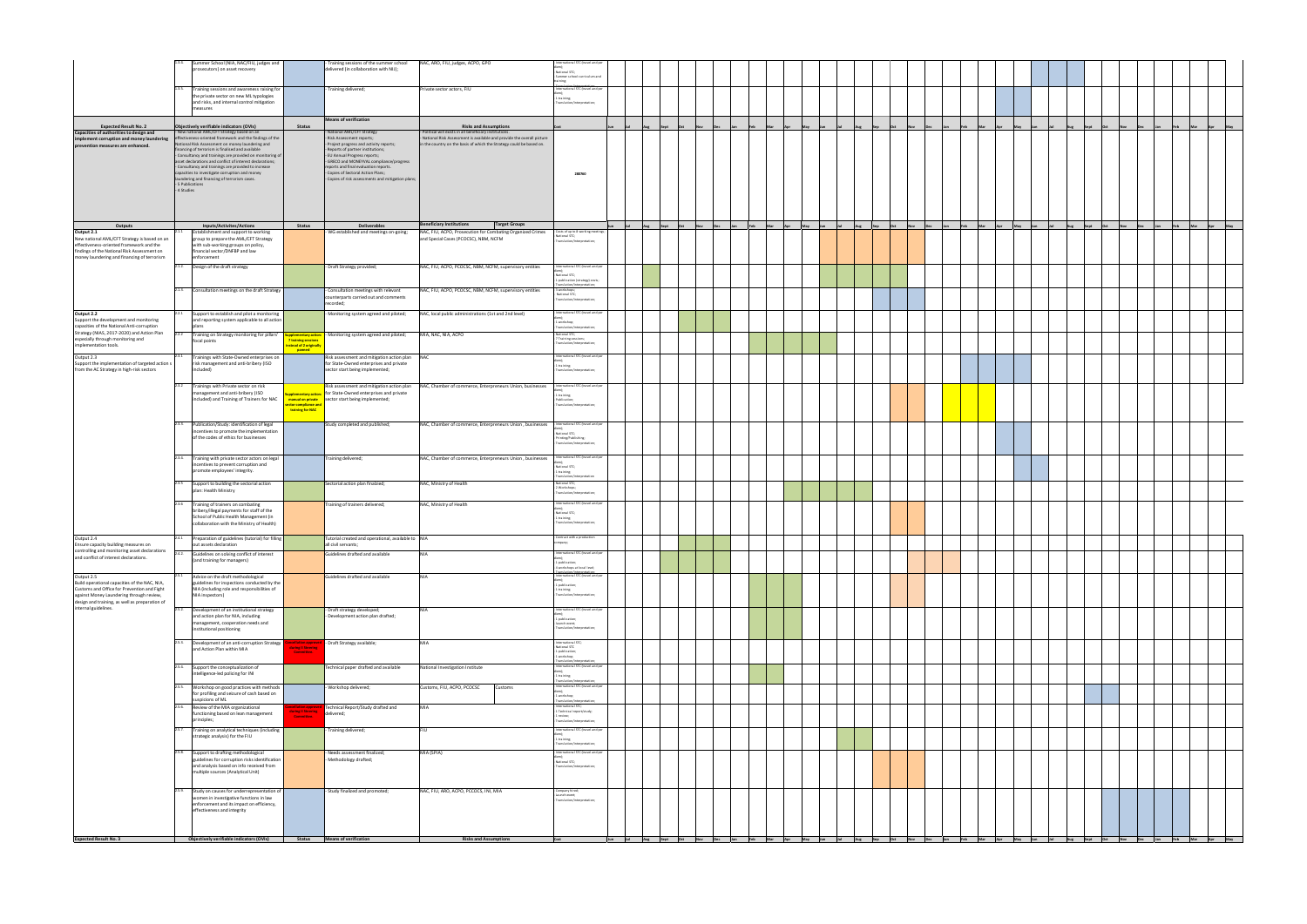|                                                                                                                                       | 1.3.4. Summer School (NIA, NAC/FIU, judges and                                                                    |                                          | - Training sessions of the summer school                                      | NAC, ARO, FIU, judges, ACPO, GPO                                                                     | - International STC (travel and per                               |                                 |     |  |               |  |     |                          |      |     |             |
|---------------------------------------------------------------------------------------------------------------------------------------|-------------------------------------------------------------------------------------------------------------------|------------------------------------------|-------------------------------------------------------------------------------|------------------------------------------------------------------------------------------------------|-------------------------------------------------------------------|---------------------------------|-----|--|---------------|--|-----|--------------------------|------|-----|-------------|
|                                                                                                                                       | prosecutors) on asset recovery                                                                                    |                                          | delivered (in collaboration with NIJ);                                        |                                                                                                      | National STC;                                                     |                                 |     |  |               |  |     |                          |      |     |             |
|                                                                                                                                       |                                                                                                                   |                                          |                                                                               |                                                                                                      | Summer school curriculum and                                      |                                 |     |  |               |  |     |                          |      |     |             |
|                                                                                                                                       | 1.3.5. Training sessions and awareness raising for                                                                |                                          |                                                                               |                                                                                                      | International STC (travel and per                                 |                                 |     |  |               |  |     |                          |      |     |             |
|                                                                                                                                       | the private sector on new ML typologies                                                                           |                                          | Training delivered;                                                           | Private sector actors, FIU                                                                           | 1 training;                                                       |                                 |     |  |               |  |     |                          |      |     |             |
|                                                                                                                                       | and risks, and internal control mitigation                                                                        |                                          |                                                                               |                                                                                                      | Translation/interpretation;                                       |                                 |     |  |               |  |     |                          |      |     |             |
|                                                                                                                                       | measures                                                                                                          |                                          |                                                                               |                                                                                                      |                                                                   |                                 |     |  |               |  |     |                          |      |     |             |
|                                                                                                                                       |                                                                                                                   |                                          | <b>Means of verification</b>                                                  |                                                                                                      |                                                                   |                                 |     |  |               |  |     |                          |      |     |             |
| <b>Expected Result No. 2</b><br>Capacities of authorities to design and                                                               | Objectively verifiable indicators (OVIs)<br>- New national AML/CFT Strategy based on an                           | <b>Status</b>                            | National AML/CFT Strategy                                                     | <b>Risks and Assumptions</b><br>Political will exists in all beneficiary institutions.               |                                                                   |                                 |     |  |               |  |     |                          |      |     |             |
| implement corruption and money laundering<br>prevention measures are enhanced.                                                        | effectiveness-oriented framework and the findings of the                                                          |                                          | Risk Assessment reports;                                                      | National Risk Assessment is available and provide the overall picture                                |                                                                   |                                 |     |  |               |  |     |                          |      |     |             |
|                                                                                                                                       | National Risk Assessment on money laundering and<br>financing of terrorism is finalised and available             |                                          | Project progress and activity reports;<br>Reports of partner institutions;    | in the country on the basis of which the Strategy could be based on.                                 |                                                                   |                                 |     |  |               |  |     |                          |      |     |             |
|                                                                                                                                       | - Consultancy and trainings are provided on monitoring of                                                         |                                          | EU Annual Progress reports;                                                   |                                                                                                      |                                                                   |                                 |     |  |               |  |     |                          |      |     |             |
|                                                                                                                                       | asset declarations and conflict of interest declarations;<br>- Consultancy and trainings are provided to increase |                                          | GRECO and MONEYVAL compliance/progress<br>ports and final evaluation reports. |                                                                                                      |                                                                   |                                 |     |  |               |  |     |                          |      |     |             |
|                                                                                                                                       | capacities to investigate corruption and money                                                                    |                                          | Copies of Sectoral Action Plans;                                              |                                                                                                      | 280760                                                            |                                 |     |  |               |  |     |                          |      |     |             |
|                                                                                                                                       | laundering and financing of terrorism cases.<br>- 5 Publications                                                  |                                          | Copies of risk assessments and mitigation plans;                              |                                                                                                      |                                                                   |                                 |     |  |               |  |     |                          |      |     |             |
|                                                                                                                                       | - 4 Studies                                                                                                       |                                          |                                                                               |                                                                                                      |                                                                   |                                 |     |  |               |  |     |                          |      |     |             |
|                                                                                                                                       |                                                                                                                   |                                          |                                                                               |                                                                                                      |                                                                   |                                 |     |  |               |  |     |                          |      |     |             |
|                                                                                                                                       |                                                                                                                   |                                          |                                                                               |                                                                                                      |                                                                   |                                 |     |  |               |  |     |                          |      |     |             |
|                                                                                                                                       |                                                                                                                   |                                          |                                                                               |                                                                                                      |                                                                   |                                 |     |  |               |  |     |                          |      |     |             |
| Outputs                                                                                                                               | <b>Inputs/Activites/Actions</b>                                                                                   | <b>Status</b>                            | Deliverables                                                                  | <b>Beneficiary Institutions</b><br><b>Target Groups</b>                                              |                                                                   | Aug Sept Oct<br>N <sub>ov</sub> | Mar |  | $n_{\rm eff}$ |  | May | Aug Sept<br>$_{\rm oct}$ | Nov. | Feb | Mar Apr May |
| Output 2.1                                                                                                                            | 2.1.1 Establishment and support to working                                                                        |                                          | WG established and meetings on-going;                                         | NAC, FIU, ACPO, Prosecution for Combating Organized Crimes                                           | - Costs of up to 8 working meetings;<br>National STC;             |                                 |     |  |               |  |     |                          |      |     |             |
| New national AML/CFT Strategy is based on an                                                                                          | group to prepare the AML/CFT Strategy<br>with sub-working groups on policy,                                       |                                          |                                                                               | and Special Cases (PCOCSC), NBM, NCFM                                                                | Translation/Interpretation;                                       |                                 |     |  |               |  |     |                          |      |     |             |
| effectiveness-oriented framework and the<br>findings of the National Risk Assessment on                                               | financial sector/DNFBP and law                                                                                    |                                          |                                                                               |                                                                                                      |                                                                   |                                 |     |  |               |  |     |                          |      |     |             |
| money laundering and financing of terrorism                                                                                           | enforcement                                                                                                       |                                          |                                                                               |                                                                                                      |                                                                   |                                 |     |  |               |  |     |                          |      |     |             |
|                                                                                                                                       | 2.1.2. Design of the draft strategy                                                                               |                                          | - Draft Strategy provided;                                                    | NAC, FIU, ACPO, PCOCSC, NBM, NCFM, supervisory entities                                              | International STC (travel and per                                 |                                 |     |  |               |  |     |                          |      |     |             |
|                                                                                                                                       |                                                                                                                   |                                          |                                                                               |                                                                                                      | National STC;<br>1 publication (strategy) costs;                  |                                 |     |  |               |  |     |                          |      |     |             |
|                                                                                                                                       |                                                                                                                   |                                          |                                                                               |                                                                                                      | Translation/interpretation;                                       |                                 |     |  |               |  |     |                          |      |     |             |
|                                                                                                                                       | 2.1.3. Consultation meetings on the draft Strategy                                                                |                                          | Consultation meetings with relevant<br>counterparts carried out and comments  | NAC, FIU, ACPO, PCOCSC, NBM, NCFM, supervisory entities                                              | - 3 workshops;<br>- National STC;                                 |                                 |     |  |               |  |     |                          |      |     |             |
|                                                                                                                                       |                                                                                                                   |                                          | recorded;                                                                     |                                                                                                      | Translation/interpretation;                                       |                                 |     |  |               |  |     |                          |      |     |             |
| Output 2.2                                                                                                                            | 2.2.1 Support to establish and pilot a monitoring                                                                 |                                          | Monitoring system agreed and piloted;                                         | NAC, local public administrations (1st and 2nd level)                                                | International STC (travel and per                                 |                                 |     |  |               |  |     |                          |      |     |             |
| Support the development and monitoring                                                                                                | and reporting system applicable to all action                                                                     |                                          |                                                                               |                                                                                                      | 1 workshop;                                                       |                                 |     |  |               |  |     |                          |      |     |             |
| capacities of the National Anti-corruption<br>Strategy (NIAS, 2017-2020) and Action Plan                                              | nlans                                                                                                             |                                          |                                                                               |                                                                                                      | ranslation/interpretation;                                        |                                 |     |  |               |  |     |                          |      |     |             |
| especially through monitoring and                                                                                                     | 2.2.2 Training on Strategy monitoring for pillars'<br>focal points                                                | <b>7 training sessions</b>               | <b>upplementary action:</b> - Monitoring system agreed and piloted;           | MIA, NAC, NIA, ACPO                                                                                  | - National STC;<br>7 Training sessions;                           |                                 |     |  |               |  |     |                          |      |     |             |
| implementation tools.                                                                                                                 |                                                                                                                   | nstead of 2 originally<br>panned         |                                                                               |                                                                                                      | Translation/interpretation;                                       |                                 |     |  |               |  |     |                          |      |     |             |
| Output 2.3                                                                                                                            | Trainings with State-Owned enterprises on<br>2.3.1                                                                |                                          | Risk assessment and mitigation action plan NAC                                |                                                                                                      | International STC (travel and pr                                  |                                 |     |  |               |  |     |                          |      |     |             |
| Support the implementation of targeted action s                                                                                       | risk management and anti-bribery (ISO                                                                             |                                          | for State-Owned enterprises and private                                       |                                                                                                      | $-1$ training;                                                    |                                 |     |  |               |  |     |                          |      |     |             |
| from the AC Strategy in high-risk sectors                                                                                             | included)                                                                                                         |                                          | sector start being implemented;                                               |                                                                                                      | Translation/interpretation:                                       |                                 |     |  |               |  |     |                          |      |     |             |
|                                                                                                                                       | 2.3.2                                                                                                             |                                          |                                                                               |                                                                                                      | International STC (travel and p                                   |                                 |     |  |               |  |     |                          |      |     |             |
|                                                                                                                                       | Trainings with Private sector on risk<br>management and anti-bribery (ISO                                         | pplementary actio                        | for State-Owned enterprises and private                                       | Risk assessment and mitigation action plan NAC, Chamber of commerce, Enterpreneurs Union, businesses |                                                                   |                                 |     |  |               |  |     |                          |      |     |             |
|                                                                                                                                       | included) and Training of Trainers for NAC                                                                        |                                          | manual on private   sector start being implemented;                           |                                                                                                      | 1 training;<br>- Publication;                                     |                                 |     |  |               |  |     |                          |      |     |             |
|                                                                                                                                       |                                                                                                                   | ector compliance and<br>training for NAC |                                                                               |                                                                                                      | Translation/interpretation;                                       |                                 |     |  |               |  |     |                          |      |     |             |
|                                                                                                                                       |                                                                                                                   |                                          |                                                                               |                                                                                                      |                                                                   |                                 |     |  |               |  |     |                          |      |     |             |
|                                                                                                                                       | 2.3.3. Publication/Study: identification of legal                                                                 |                                          | Study completed and published;                                                | NAC, Chamber of commerce, Enterpreneurs Union, businesses                                            | - International STC (travel and pe                                |                                 |     |  |               |  |     |                          |      |     |             |
|                                                                                                                                       | incentives to promote the implementation<br>of the codes of ethics for businesses                                 |                                          |                                                                               |                                                                                                      | National STC;<br>- Printing/Publishing;                           |                                 |     |  |               |  |     |                          |      |     |             |
|                                                                                                                                       |                                                                                                                   |                                          |                                                                               |                                                                                                      | ranslation/interpretation:                                        |                                 |     |  |               |  |     |                          |      |     |             |
|                                                                                                                                       |                                                                                                                   |                                          |                                                                               |                                                                                                      |                                                                   |                                 |     |  |               |  |     |                          |      |     |             |
|                                                                                                                                       | 2.3.4. Training with private sector actors on legal<br>incentives to prevent corruption and                       |                                          | Training delivered;                                                           | NAC, Chamber of commerce, Enterpreneurs Union, businesses                                            | - International STC (travel and pe                                |                                 |     |  |               |  |     |                          |      |     |             |
|                                                                                                                                       | promote employees' integrity.                                                                                     |                                          |                                                                               |                                                                                                      | National STC;<br>1 training;                                      |                                 |     |  |               |  |     |                          |      |     |             |
|                                                                                                                                       |                                                                                                                   |                                          |                                                                               |                                                                                                      | ranslation/interpret                                              |                                 |     |  |               |  |     |                          |      |     |             |
|                                                                                                                                       | $2.3.5$ Support to building the sectorial action<br>plan: Health Ministry                                         |                                          | Sectorial action plan finalzied;                                              | NAC, Ministry of Health                                                                              | National STC;<br>2 Workshops;                                     |                                 |     |  |               |  |     |                          |      |     |             |
|                                                                                                                                       |                                                                                                                   |                                          |                                                                               |                                                                                                      | ranslation/interpretation;                                        |                                 |     |  |               |  |     |                          |      |     |             |
|                                                                                                                                       | 2.3.6<br>Training of trainers on combating                                                                        |                                          | Training of trainers delivered;                                               | NAC, Ministry of Health                                                                              | International STC (travel and per                                 |                                 |     |  |               |  |     |                          |      |     |             |
|                                                                                                                                       | bribery/illegal payments for staff of the<br>School of Public Health Management (in                               |                                          |                                                                               |                                                                                                      | - National STC;<br>1 training;                                    |                                 |     |  |               |  |     |                          |      |     |             |
|                                                                                                                                       | collaboration with the Ministry of Health)                                                                        |                                          |                                                                               |                                                                                                      | Franslation/interpretation;                                       |                                 |     |  |               |  |     |                          |      |     |             |
|                                                                                                                                       |                                                                                                                   |                                          |                                                                               |                                                                                                      |                                                                   |                                 |     |  |               |  |     |                          |      |     |             |
| Output 2.4                                                                                                                            | 2.4.1 Preparation of guidelines (tutorial) for filling                                                            |                                          | Tutorial created and operational, available to NIA                            |                                                                                                      | Contract with a production<br>mpany                               |                                 |     |  |               |  |     |                          |      |     |             |
| Ensure capacity building measures on<br>controlling and monitoring asset declarations 24.2 Guidelines on solving conflict of interest | out assets declaration                                                                                            |                                          | all civil servants;                                                           |                                                                                                      | International STC (travel and per                                 |                                 |     |  |               |  |     |                          |      |     |             |
| and conflict of interest declarations.                                                                                                | (and training for managers)                                                                                       |                                          | Guidelines drafted and available                                              | <b>NIA</b>                                                                                           |                                                                   |                                 |     |  |               |  |     |                          |      |     |             |
|                                                                                                                                       |                                                                                                                   |                                          |                                                                               |                                                                                                      | - 1 publication;<br>4 workshops at local level;                   |                                 |     |  |               |  |     |                          |      |     |             |
| Output 2.5                                                                                                                            | 2.5.1 Advice on the draft methodological                                                                          |                                          | Guidelines drafted and available                                              | <b>NIA</b>                                                                                           | International STC (travel and pe                                  |                                 |     |  |               |  |     |                          |      |     |             |
| Build operational capacities of the NAC, NIA,                                                                                         | guidelines for inspections conducted by the                                                                       |                                          |                                                                               |                                                                                                      | 1 publication;                                                    |                                 |     |  |               |  |     |                          |      |     |             |
| Customs and Office for Prevention and Fight<br>against Money Laundering through review,                                               | NIA (including role and responsibilities of<br>NIA inspectors)                                                    |                                          |                                                                               |                                                                                                      | 1 training;<br>Translation/interpretation;                        |                                 |     |  |               |  |     |                          |      |     |             |
| design and training, as well as preparation of                                                                                        |                                                                                                                   |                                          |                                                                               |                                                                                                      |                                                                   |                                 |     |  |               |  |     |                          |      |     |             |
| internal guidelines.                                                                                                                  | 2.5.2. Development of an institutional strategy                                                                   |                                          | - Draft strategy developed;                                                   | <b>NIA</b>                                                                                           | International STC (travel and pe                                  |                                 |     |  |               |  |     |                          |      |     |             |
|                                                                                                                                       | and action plan for NIA, including<br>management, cooperation needs and                                           |                                          | Development action plan drafted;                                              |                                                                                                      | - 1 publication;<br>launch event;                                 |                                 |     |  |               |  |     |                          |      |     |             |
|                                                                                                                                       | institutional positioning                                                                                         |                                          |                                                                               |                                                                                                      | Translation/interpretation;                                       |                                 |     |  |               |  |     |                          |      |     |             |
|                                                                                                                                       |                                                                                                                   |                                          |                                                                               |                                                                                                      | International STC;                                                |                                 |     |  |               |  |     |                          |      |     |             |
|                                                                                                                                       | 2.5.3. Development of an anti-corruption Strategy<br>and Action Plan within MIA                                   | <b>uring II Steering</b>                 | - Draft Strategy available;                                                   | MIA                                                                                                  | National STC<br>1 publication;                                    |                                 |     |  |               |  |     |                          |      |     |             |
|                                                                                                                                       |                                                                                                                   | Committee.                               |                                                                               |                                                                                                      | 1 workshop;                                                       |                                 |     |  |               |  |     |                          |      |     |             |
|                                                                                                                                       | 2.5.4. Support the conceptualization of                                                                           |                                          | Technical paper drafted and available                                         | National Investigation Institute                                                                     | Translation/interpretation<br>- International STC (travel and per |                                 |     |  |               |  |     |                          |      |     |             |
|                                                                                                                                       | intelligence-led policing for INI                                                                                 |                                          |                                                                               |                                                                                                      | 1 training;                                                       |                                 |     |  |               |  |     |                          |      |     |             |
|                                                                                                                                       | 2.5.5. Workshop on good practices with methods                                                                    |                                          | Workshop delivered;                                                           | Customs, FIU, ACPO, PCOCSC<br>Customs                                                                | - International STC (travel and per                               |                                 |     |  |               |  |     |                          |      |     |             |
|                                                                                                                                       | for profiling and seizure of cash based on                                                                        |                                          |                                                                               |                                                                                                      | - 1 workshop;                                                     |                                 |     |  |               |  |     |                          |      |     |             |
|                                                                                                                                       | suspicions of ML                                                                                                  |                                          |                                                                               |                                                                                                      | Translation/interpretatio                                         |                                 |     |  |               |  |     |                          |      |     |             |
|                                                                                                                                       | 2.5.6. Review of the MIA organizational<br>functioning based on lean management                                   | uring II Steering                        | Technical Report/Study drafted and<br>delivered;                              | MIA                                                                                                  | International STC;<br>1 Technical report/study;                   |                                 |     |  |               |  |     |                          |      |     |             |
|                                                                                                                                       | principles;                                                                                                       | Committee.                               |                                                                               |                                                                                                      | 1 review;<br>Translation/interpretation;                          |                                 |     |  |               |  |     |                          |      |     |             |
|                                                                                                                                       | 2.5.7. Training on analytical techniques (including                                                               |                                          | Training delivered;                                                           | FIU                                                                                                  | - International STC (travel and per                               |                                 |     |  |               |  |     |                          |      |     |             |
|                                                                                                                                       | strategic analysis) for the FIU                                                                                   |                                          |                                                                               |                                                                                                      | - 1 training;                                                     |                                 |     |  |               |  |     |                          |      |     |             |
|                                                                                                                                       |                                                                                                                   |                                          |                                                                               |                                                                                                      | Translation/interpretation;                                       |                                 |     |  |               |  |     |                          |      |     |             |
|                                                                                                                                       | 2.5.8. Support to drafting methodological                                                                         |                                          | Needs assessment finalized;                                                   | MIA (SPIA)                                                                                           | International STC (travel and per                                 |                                 |     |  |               |  |     |                          |      |     |             |
|                                                                                                                                       | guidelines for corruption risks identification<br>and analysis based on info received from                        |                                          | Methodology drafted;                                                          |                                                                                                      | - National STC;                                                   |                                 |     |  |               |  |     |                          |      |     |             |
|                                                                                                                                       | multiple sources (Analytical Unit)                                                                                |                                          |                                                                               |                                                                                                      | Translation/interpretation;                                       |                                 |     |  |               |  |     |                          |      |     |             |
|                                                                                                                                       |                                                                                                                   |                                          |                                                                               |                                                                                                      |                                                                   |                                 |     |  |               |  |     |                          |      |     |             |
|                                                                                                                                       | 2.5.9. Study on causes for underrepresentation of                                                                 |                                          | - Study finalized and promoted;                                               | NAC, FIU, ARO, ACPO, PCCOCS, INI, MIA                                                                | Company hired;                                                    |                                 |     |  |               |  |     |                          |      |     |             |
|                                                                                                                                       | women in investigative functions in law                                                                           |                                          |                                                                               |                                                                                                      | Launch event;<br>Translation/interpretation;                      |                                 |     |  |               |  |     |                          |      |     |             |
|                                                                                                                                       | enforcement and its impact on efficiency,<br>effectiveness and integrity                                          |                                          |                                                                               |                                                                                                      |                                                                   |                                 |     |  |               |  |     |                          |      |     |             |
|                                                                                                                                       |                                                                                                                   |                                          |                                                                               |                                                                                                      |                                                                   |                                 |     |  |               |  |     |                          |      |     |             |
|                                                                                                                                       |                                                                                                                   |                                          |                                                                               |                                                                                                      |                                                                   |                                 |     |  |               |  |     |                          |      |     |             |
|                                                                                                                                       |                                                                                                                   |                                          |                                                                               |                                                                                                      |                                                                   |                                 |     |  |               |  |     |                          |      |     |             |
| <b>Expected Result No. 3</b>                                                                                                          | Objectively verifiable indicators (OVIs) Status Means of verification                                             |                                          |                                                                               | <b>Risks and Assumptions</b>                                                                         | Cost                                                              |                                 |     |  |               |  |     |                          |      |     |             |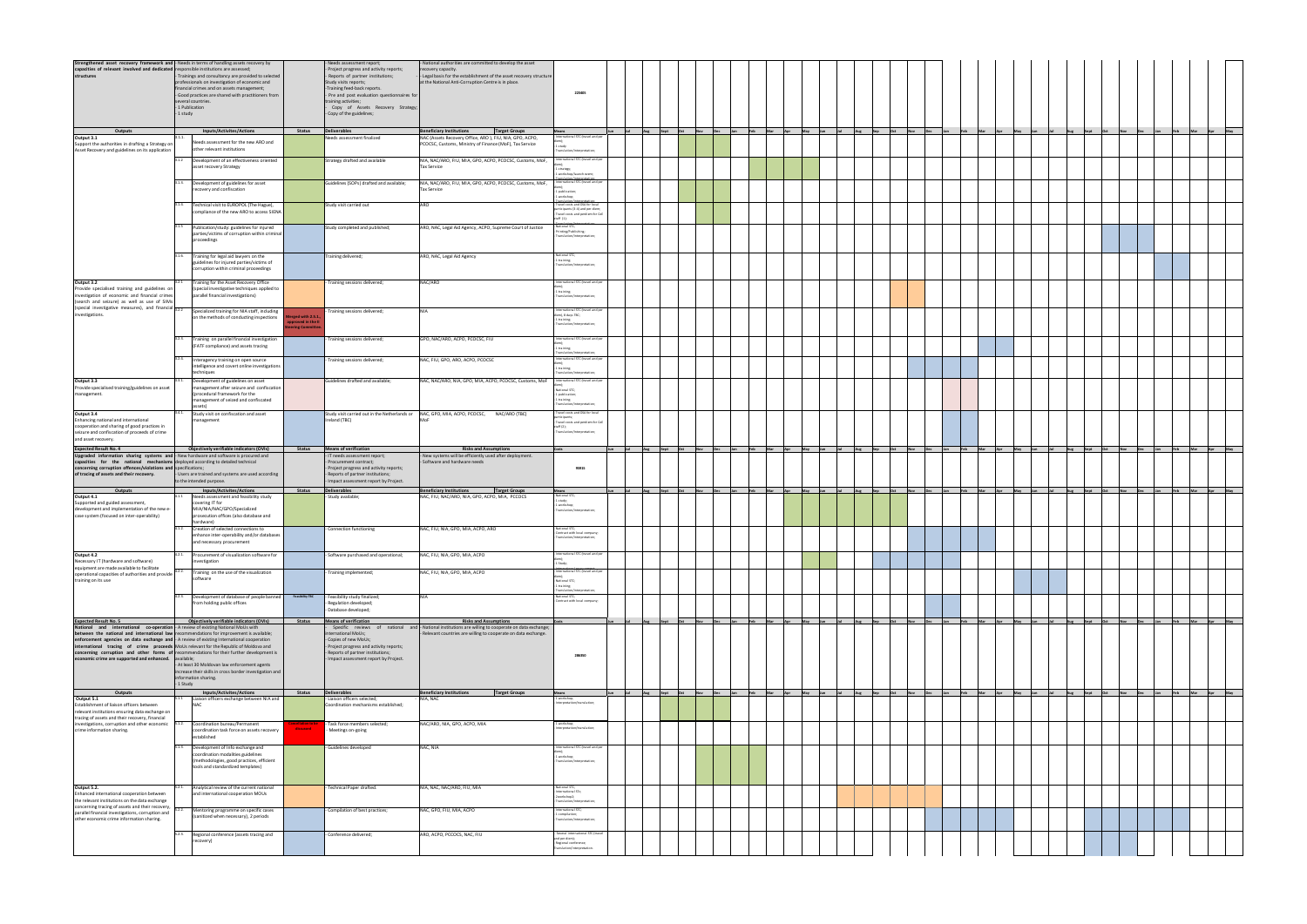| Strengthened asset recovery framework and - Needs in terms of handling assets recovery by capacities of relevant involved and dedicated responsible institutions are assessed;<br>structures structures structures for the struct    | Trainings and consultancy are provided to selected<br>professionals on investigation of economic and<br>financial crimes and on assets management;<br>- Good practices are shared with practitioners from<br>several countries.<br>- 1 Publication<br>- 1 study                                                                                                                                                                                                                                                                                                |                                                          | Needs assessment report;<br>Project progress and activity reports;<br>Reports of partner institutions;<br>Study visits reports;<br>-Training feed-back reports.<br>- Pre and post evaluation questionnaires for<br>training activities;<br>Copy of Assets Recovery Strategy;<br>- Copy of the guidelines; | National authorities are committed to develop the asset<br>recovery capacity.<br>Legal basis for the establishment of the asset recovery structure<br>at the National Anti-Corruption Centre is in place. | 223405                                                                                                                           |     |                             |         |               |                 |     |                                                 |  |     |                     |                                                  |                          |  |                     |
|--------------------------------------------------------------------------------------------------------------------------------------------------------------------------------------------------------------------------------------|----------------------------------------------------------------------------------------------------------------------------------------------------------------------------------------------------------------------------------------------------------------------------------------------------------------------------------------------------------------------------------------------------------------------------------------------------------------------------------------------------------------------------------------------------------------|----------------------------------------------------------|-----------------------------------------------------------------------------------------------------------------------------------------------------------------------------------------------------------------------------------------------------------------------------------------------------------|-----------------------------------------------------------------------------------------------------------------------------------------------------------------------------------------------------------|----------------------------------------------------------------------------------------------------------------------------------|-----|-----------------------------|---------|---------------|-----------------|-----|-------------------------------------------------|--|-----|---------------------|--------------------------------------------------|--------------------------|--|---------------------|
| Outputs                                                                                                                                                                                                                              | <b>Inputs/Activites/Actions</b>                                                                                                                                                                                                                                                                                                                                                                                                                                                                                                                                | <b>Status</b>                                            | <b>Deliverables</b>                                                                                                                                                                                                                                                                                       | <b>Beneficiary Institutions</b><br><b>Target Groups</b>                                                                                                                                                   | Means                                                                                                                            | Jul | Aug Sept Oct                | Nov Dec | Feb           | Mar Apr May Jun | Jul | Aug Sep Oct Nov Dec                             |  | Feb |                     |                                                  |                          |  | May                 |
| Output 3.1<br>Support the authorities in drafting a Strategy on<br>Asset Recovery and guidelines on its application                                                                                                                  | 3.1.1.<br>Needs assessment for the new ARO and<br>other relevant institutions<br>3.1.2 Development of an effectiveness oriented                                                                                                                                                                                                                                                                                                                                                                                                                                |                                                          | Needs assessment finalized<br>Strategy drafted and available                                                                                                                                                                                                                                              | NAC (Assets Recovery Office, ARO ), FIU, NIA, GPO, ACPO,<br>PCOCSC, Customs, Ministry of Finance (MoF), Tax Service<br>NIA, NAC/ARO, FIU, MIA, GPO, ACPO, PCOCSC, Customs, MoF,                           | ternational STC (travel and pe<br>1 study<br>Translation/interpretation<br>- International STC (travel and per                   |     |                             |         |               |                 |     |                                                 |  |     |                     |                                                  |                          |  |                     |
|                                                                                                                                                                                                                                      | asset recovery Strategy                                                                                                                                                                                                                                                                                                                                                                                                                                                                                                                                        |                                                          |                                                                                                                                                                                                                                                                                                           | <b>Tax Service</b>                                                                                                                                                                                        | 1 strategy;<br>1 workshop/launch event;                                                                                          |     |                             |         |               |                 |     |                                                 |  |     |                     |                                                  |                          |  |                     |
|                                                                                                                                                                                                                                      | 3.1.3. Development of guidelines for asset<br>recovery and confiscation                                                                                                                                                                                                                                                                                                                                                                                                                                                                                        |                                                          | Guidelines (SOPs) drafted and available;                                                                                                                                                                                                                                                                  | NIA, NAC/ARO, FIU, MIA, GPO, ACPO, PCOCSC, Customs, MoF,<br><b>Tax Service</b>                                                                                                                            | International STC (travel and pe<br>1 publication                                                                                |     |                             |         |               |                 |     |                                                 |  |     |                     |                                                  |                          |  |                     |
|                                                                                                                                                                                                                                      | 3.1.4.<br>Technical visit to EUROPOL (The Hague),<br>compliance of the new ARO to access SIENA                                                                                                                                                                                                                                                                                                                                                                                                                                                                 |                                                          | Study visit carried out                                                                                                                                                                                                                                                                                   | ARO                                                                                                                                                                                                       | 1 workshop<br>Travel costs and DSA for local<br>sarticipants (3-4) and per-diem<br>Travel costs and perdiem for Co.<br>taff (1): |     |                             |         |               |                 |     |                                                 |  |     |                     |                                                  |                          |  |                     |
|                                                                                                                                                                                                                                      | 3.1.5 Publication/study: guidelines for injured<br>parties/victims of corruption within criminal<br>proceedings                                                                                                                                                                                                                                                                                                                                                                                                                                                |                                                          | Study completed and published;                                                                                                                                                                                                                                                                            | ARO, NAC, Legal Aid Agency, ACPO, Supreme Court of Justice                                                                                                                                                | National STC<br>Printing/Publishing;<br>Translation/interpretation                                                               |     |                             |         |               |                 |     |                                                 |  |     |                     |                                                  |                          |  |                     |
|                                                                                                                                                                                                                                      | 3.1.6.<br>Training for legal aid lawyers on the<br>guidelines for injured parties/victims of<br>corruption within criminal proceedings                                                                                                                                                                                                                                                                                                                                                                                                                         |                                                          | Training delivered;                                                                                                                                                                                                                                                                                       | ARO, NAC, Legal Aid Agency                                                                                                                                                                                | National STC;<br>1 training;<br>Translation/interpretation:                                                                      |     |                             |         |               |                 |     |                                                 |  |     |                     |                                                  |                          |  |                     |
| Output 3.2<br>Provide specialised training and guidelines on<br>investigation of economic and financial crimes<br>(search and seizure) as well as use of SIMs                                                                        | Training for the Asset Recovery Office<br>(special investigative techniques applied to<br>parallel financial investigations)                                                                                                                                                                                                                                                                                                                                                                                                                                   |                                                          | - Training sessions delivered;                                                                                                                                                                                                                                                                            | NAC/ARO                                                                                                                                                                                                   | International STC (travel and p<br>$-1$ training;<br>Translation/interpretation:                                                 |     |                             |         |               |                 |     |                                                 |  |     |                     |                                                  |                          |  |                     |
| (special investigative measures), and financial 3.2.2<br>investigations.                                                                                                                                                             | Specialized training for NIA staff, including<br>on the methods of conducting inspections                                                                                                                                                                                                                                                                                                                                                                                                                                                                      | Aerged with 2.5.1<br>pproved in the II<br>ering Committe | Training sessions delivered;                                                                                                                                                                                                                                                                              | <b>NIA</b>                                                                                                                                                                                                | International STC (travel and per<br>diem), 8 days TBC;<br>1 training;<br>Translation/interpretation:                            |     |                             |         |               |                 |     |                                                 |  |     |                     |                                                  |                          |  |                     |
|                                                                                                                                                                                                                                      | 3.2.3.<br>Training on parallel financial investigation<br>(FATF compliance) and assets tracing                                                                                                                                                                                                                                                                                                                                                                                                                                                                 |                                                          | Training sessions delivered;                                                                                                                                                                                                                                                                              | GPO, NAC/ARO, ACPO, PCOCSC, FIU                                                                                                                                                                           | International STC (travel and per<br>1 training;                                                                                 |     |                             |         |               |                 |     |                                                 |  |     |                     |                                                  |                          |  |                     |
|                                                                                                                                                                                                                                      | Interagency training on open source<br>ntelligence and covert online investigations<br>techniques                                                                                                                                                                                                                                                                                                                                                                                                                                                              |                                                          | Training sessions delivered;                                                                                                                                                                                                                                                                              | NAC, FIU, GPO, ARO, ACPO, PCOCSC                                                                                                                                                                          | International STC (travel and net<br>- 1 training;<br>ranslation/interpretation                                                  |     |                             |         |               |                 |     |                                                 |  |     |                     |                                                  |                          |  |                     |
| Output 3.3<br>Provide specialised training/guidelines on asset<br>management.                                                                                                                                                        | 3.3.1.<br>Development of guidelines on asset<br>management after seizure and confiscation<br>(procedural framework for the<br>management of seized and confiscated                                                                                                                                                                                                                                                                                                                                                                                             |                                                          | Guidelines drafted and available;                                                                                                                                                                                                                                                                         | NAC, NAC/ARO, NIA, GPO, MIA, ACPO, PCOCSC, Customs, MoF                                                                                                                                                   | International STC (travel and pe<br>National STC:<br>1 publication<br>-1 training;<br>Translation/interpretation                 |     |                             |         |               |                 |     |                                                 |  |     |                     |                                                  |                          |  |                     |
| Output 3.4<br>Enhancing national and international<br>cooperation and sharing of good practices in<br>seizure and confiscation of proceeds of crime<br>and asset recovery.                                                           | assets)<br>3.4.1. Study visit on confiscation and asset<br>management                                                                                                                                                                                                                                                                                                                                                                                                                                                                                          |                                                          | Ireland (TBC)                                                                                                                                                                                                                                                                                             | Study visit carried out in the Netherlands or NAC, GPO, MIA, ACPO, PCOCSC, NAC/ARO (TBC)                                                                                                                  | Travel costs and DSA for local<br>tici pants;<br>Travel costs and perdiem for CoE<br>taff (2);<br>Translation/Interpretation     |     |                             |         |               |                 |     |                                                 |  |     |                     |                                                  |                          |  |                     |
|                                                                                                                                                                                                                                      |                                                                                                                                                                                                                                                                                                                                                                                                                                                                                                                                                                |                                                          | Status Means of verification                                                                                                                                                                                                                                                                              | <b>Risks and Assumptions</b><br>New systems will be efficiently used after deployment.                                                                                                                    | Costs                                                                                                                            |     | Jul Aug Sept Oct Nov Dec    |         |               |                 |     | n Feb Mar Apr May Jun Jul Aug Sep Oct Nov Dec   |  |     | lan Feb Mar Apr May | Jun                                              | Jul Aug Sept Oct Nov Dec |  | Feb Mar Apr May     |
| Expected Result No. 4<br>Upgraded information sharing systems and - New hardware and software is procured and<br>capacities for the national mechanisms deployed according to detailed technical<br>concerning corruption offences/v | - Users are trained and systems are used according<br>to the intended purpose                                                                                                                                                                                                                                                                                                                                                                                                                                                                                  |                                                          | IT needs assessment report;<br>Procurement contract;<br>Project progress and activity reports;<br>Reports of partner institutions;<br>Impact assessment report by Project.                                                                                                                                | Software and hardware needs                                                                                                                                                                               | 95915                                                                                                                            |     |                             |         |               |                 |     |                                                 |  |     |                     |                                                  |                          |  |                     |
| Outputs<br>Output 4.1<br>Supported and guided assessment,<br>development and implementation of the new e-                                                                                                                            | <b>Inputs/Activites/Actions</b><br>4.1.1<br>Needs assessment and feasibility study<br>covering IT for                                                                                                                                                                                                                                                                                                                                                                                                                                                          | <b>Status</b>                                            | <b>Deliverables</b><br>Study available;                                                                                                                                                                                                                                                                   | <b>Beneficiary Institutions</b><br><b>Target Groups</b><br>NAC, FIU, NAC/ARO, NIA, GPO, ACPO, MIA, PCCOCS                                                                                                 | Means<br>National STC;<br>- 1 study;<br>- 1 workshop;                                                                            |     | un Jul Aug Sept Oct Nov Dec |         | n Feb Mar Apr |                 |     | May Jun Jul Aug Sep Oct Nov Dec                 |  |     |                     | Jan Feb Mar Apr May Jun Jul Aug Sept Oct Nov Dec |                          |  | an Feb Mar Apr May  |
| case system (focused on inter-operability)                                                                                                                                                                                           | MIA/NIA/NAC/GPO/Specialized<br>prosecution offices (also database and<br>hardware)<br>4.1.2.<br>Creation of selected connections to<br>enhance inter-operability and/or databases                                                                                                                                                                                                                                                                                                                                                                              |                                                          | - Connection functioning                                                                                                                                                                                                                                                                                  | NAC, FIU, NIA, GPO, MIA, ACPO, ARO                                                                                                                                                                        | Translation/interpretation:<br>National STC;<br>Contract with local company;<br>Translation/interpretation;                      |     |                             |         |               |                 |     |                                                 |  |     |                     |                                                  |                          |  |                     |
| Output 4.2<br>Necessary IT (hardware and software)                                                                                                                                                                                   | and necessary procurement<br>4.2.1.<br>Procurement of visualization software for                                                                                                                                                                                                                                                                                                                                                                                                                                                                               |                                                          | Software purchased and operational;                                                                                                                                                                                                                                                                       | NAC, FIU, NIA, GPO, MIA, ACPO                                                                                                                                                                             | International STC (travel and per                                                                                                |     |                             |         |               |                 |     |                                                 |  |     |                     |                                                  |                          |  |                     |
| equipment are made available to facilitate<br>operational capacities of authorities and provide 4222.                                                                                                                                | nvestigation<br>Training on the use of the visualization<br>software                                                                                                                                                                                                                                                                                                                                                                                                                                                                                           |                                                          | Training implemented;                                                                                                                                                                                                                                                                                     | NAC, FIU, NIA, GPO, MIA, ACPO                                                                                                                                                                             | 1 Study;<br>International STC (travel and per                                                                                    |     |                             |         |               |                 |     |                                                 |  |     |                     |                                                  |                          |  |                     |
| training on its use                                                                                                                                                                                                                  | 4.2.3.<br>Development of database of people banned                                                                                                                                                                                                                                                                                                                                                                                                                                                                                                             | <b>Feasibility TBC</b>                                   | Feasibility study finalized;                                                                                                                                                                                                                                                                              | <b>NIA</b>                                                                                                                                                                                                | aiem);<br>- National STC;<br>1 training;<br>Translation/interpretation<br>National STC                                           |     |                             |         |               |                 |     |                                                 |  |     |                     |                                                  |                          |  |                     |
| <b>Expected Result No. 5</b>                                                                                                                                                                                                         | from holding public offices<br>Objectively verifiable indicators (OVIs)                                                                                                                                                                                                                                                                                                                                                                                                                                                                                        | <b>Status</b>                                            | Regulation developed;<br>Database developed;<br><b>Means of verification</b>                                                                                                                                                                                                                              | <b>Risks and Assumptions</b>                                                                                                                                                                              | Contract with local company;<br>Costs                                                                                            |     | Oct<br>Sept                 | Nov Dec |               |                 |     | Jan Feb Mar Apr May Jun Jul Aug Sep Oct Nov Dec |  |     |                     | Jan Feb Mar Apr May Jun Jul Aug Sept Oct Nov Dec |                          |  | Jan Feb Mar Apr May |
|                                                                                                                                                                                                                                      | <b>Expression and international co-operation</b> - A review of existing National MoUs with<br><b>between the rational and international law recommendations for improvement is available;<br/> <b>enforcement agencies on data exchange and</b> </b><br>Concerning corruption and other forms of recommendations for their further development is<br>economic crime are supported and enhanced.<br>available;<br>- At least 30 Moldovan law enforcement agents<br>increase their skills in cross border investigation and<br>information sharing.<br>- 1 Study |                                                          | international MoUs;<br>- Copies of new MoUs;<br>- Project progress and activity reports;<br>Reports of partner institutions;<br>- Impact assessment report by Project.                                                                                                                                    | Specific reviews of national and  - National institutions are willing to cooperate on data exchange;<br>- Relevant countries are willing to cooperate on data exchange.                                   | 286350                                                                                                                           |     |                             |         |               |                 |     |                                                 |  |     |                     |                                                  |                          |  |                     |
| Outputs<br>Output 5.1<br>Establishment of liaison officers between<br>relevant institutions ensuring data exchange on<br>tracing of assets and their recovery, financial                                                             | <b>Inputs/Activites/Actions</b><br>Liaison officers exchange between NIA and<br>NAC                                                                                                                                                                                                                                                                                                                                                                                                                                                                            |                                                          | Status Deliverables<br>- Liaison officers selected;<br>Coordination mechanisms established;                                                                                                                                                                                                               | <b>Beneficiary Institutions</b><br><b>Target Groups</b><br>NIA, NAC                                                                                                                                       | Means<br>1 workshop;<br>Interpretation/translation                                                                               |     | Jul Aug Sept Oct Nov Dec    |         |               |                 |     | in Feb Mar Apr May Jun Jul Aug Sep Oct Nov Dec  |  |     | an Feb Mar Apr May  | Jun                                              | Jul Aug Sept Oct Nov Dec |  | an Feb Mar Apr May  |
| investigations, corruption and other economic 5.1.2. Coordination bureau/Permanent<br>crime information sharing.                                                                                                                     | coordination task force on assets recovery<br>established                                                                                                                                                                                                                                                                                                                                                                                                                                                                                                      | discussed                                                | Task force members selected;<br>Meetings on-going                                                                                                                                                                                                                                                         | NAC/ARO, NIA, GPO, ACPO, MIA                                                                                                                                                                              | - 1 workshop;<br>- Interpretation/translation                                                                                    |     |                             |         |               |                 |     |                                                 |  |     |                     |                                                  |                          |  |                     |
|                                                                                                                                                                                                                                      | 5.1.3. Development of Info exchange and<br>coordination modalities guidelines<br>methodologies, good practices, efficient<br>tools and standardized templates)                                                                                                                                                                                                                                                                                                                                                                                                 |                                                          | - Guidelines developed                                                                                                                                                                                                                                                                                    | NAC, NIA                                                                                                                                                                                                  | International STC (travel and pe<br>1 workshop;<br>Translation/interpretation;                                                   |     |                             |         |               |                 |     |                                                 |  |     |                     |                                                  |                          |  |                     |
| Output 5.2.<br>Enhanced international cooperation between<br>the relevant institutions on the data exchange                                                                                                                          | Analytical review of the current national<br>5.2.1.<br>and international cooperation MOUs                                                                                                                                                                                                                                                                                                                                                                                                                                                                      |                                                          | Technical Paper drafted.                                                                                                                                                                                                                                                                                  | NIA, NAC, NAC/ARO, FIU, MIA                                                                                                                                                                               | National STC;<br>International STc;<br>2workshop2;<br>Translation/interpretation                                                 |     |                             |         |               |                 |     |                                                 |  |     |                     |                                                  |                          |  |                     |
| parallel financial investigations, corruption and<br>other economic crime information sharing.                                                                                                                                       | concerning tracing of assets and their recovery, 5.2.2. Mentoring programme on specific cases<br>(sanitized when necessary), 2 periods                                                                                                                                                                                                                                                                                                                                                                                                                         |                                                          | - Compilation of best practices;                                                                                                                                                                                                                                                                          | NAC, GPO, FIU, MIA, ACPO                                                                                                                                                                                  | International STC;<br>1 compilation;<br>Translation/interpretation;                                                              |     |                             |         |               |                 |     |                                                 |  |     |                     |                                                  |                          |  |                     |
|                                                                                                                                                                                                                                      | 5.2.3. Regional conference (assets tracing and<br>recovery)                                                                                                                                                                                                                                                                                                                                                                                                                                                                                                    |                                                          | - Conference delivered;                                                                                                                                                                                                                                                                                   | ARO, ACPO, PCCOCS, NAC, FIU                                                                                                                                                                               | - Several international STC (travel<br>and per diem);<br>Regional conference;<br>slation/interpretation                          |     |                             |         |               |                 |     |                                                 |  |     |                     |                                                  |                          |  |                     |